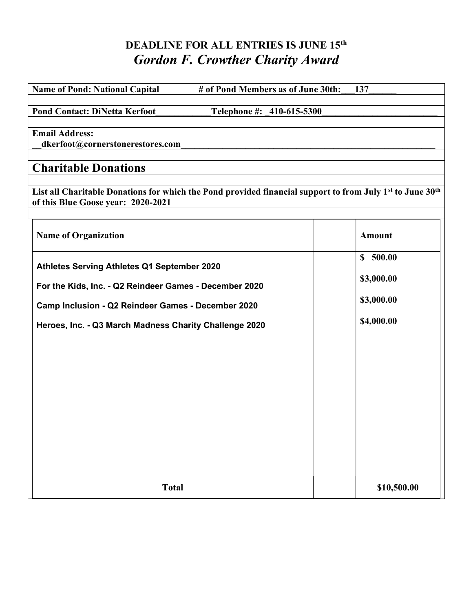# DEADLINE FOR ALL ENTRIES IS JUNE 15<sup>th</sup> Gordon F. Crowther Charity Award

| <b>Name of Pond: National Capital</b><br># of Pond Members as of June 30th:                                                                                                                                           | 137                                                |
|-----------------------------------------------------------------------------------------------------------------------------------------------------------------------------------------------------------------------|----------------------------------------------------|
| <b>Pond Contact: DiNetta Kerfoot</b><br>Telephone #: 410-615-5300                                                                                                                                                     |                                                    |
| <b>Email Address:</b><br>dkerfoot@cornerstonerestores.com                                                                                                                                                             |                                                    |
| <b>Charitable Donations</b>                                                                                                                                                                                           |                                                    |
| List all Charitable Donations for which the Pond provided financial support to from July 1 <sup>st</sup> to June 30 <sup>th</sup><br>of this Blue Goose year: 2020-2021                                               |                                                    |
| <b>Name of Organization</b>                                                                                                                                                                                           | <b>Amount</b>                                      |
| Athletes Serving Athletes Q1 September 2020<br>For the Kids, Inc. - Q2 Reindeer Games - December 2020<br>Camp Inclusion - Q2 Reindeer Games - December 2020<br>Heroes, Inc. - Q3 March Madness Charity Challenge 2020 | \$500.00<br>\$3,000.00<br>\$3,000.00<br>\$4,000.00 |
| <b>Total</b>                                                                                                                                                                                                          | \$10,500.00                                        |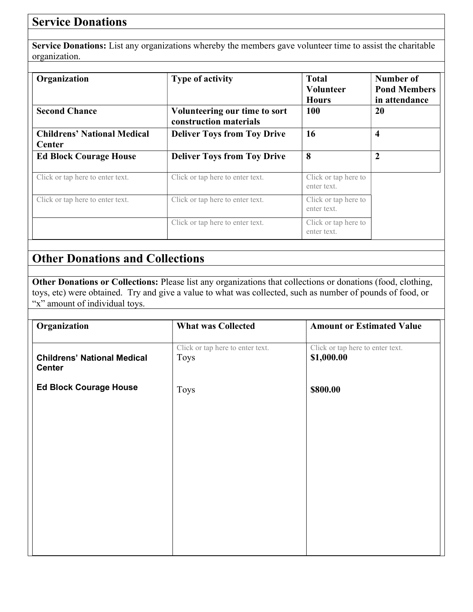## **Service Donations**

Service Donations: List any organizations whereby the members gave volunteer time to assist the charitable organization.

| Organization                                        | <b>Type of activity</b>                                 | <b>Total</b><br><b>Volunteer</b><br><b>Hours</b> | Number of<br><b>Pond Members</b><br>in attendance |
|-----------------------------------------------------|---------------------------------------------------------|--------------------------------------------------|---------------------------------------------------|
| <b>Second Chance</b>                                | Volunteering our time to sort<br>construction materials | <b>100</b>                                       | 20                                                |
| <b>Childrens' National Medical</b><br><b>Center</b> | <b>Deliver Toys from Toy Drive</b>                      | 16                                               | 4                                                 |
| <b>Ed Block Courage House</b>                       | <b>Deliver Toys from Toy Drive</b>                      | 8                                                | $\overline{2}$                                    |
| Click or tap here to enter text.                    | Click or tap here to enter text.                        | Click or tap here to<br>enter text.              |                                                   |
| Click or tap here to enter text.                    | Click or tap here to enter text.                        | Click or tap here to<br>enter text.              |                                                   |
|                                                     | Click or tap here to enter text.                        | Click or tap here to<br>enter text.              |                                                   |

## Other Donations and Collections

Other Donations or Collections: Please list any organizations that collections or donations (food, clothing, toys, etc) were obtained. Try and give a value to what was collected, such as number of pounds of food, or "x" amount of individual toys.

| Organization                                        | <b>What was Collected</b>                | <b>Amount or Estimated Value</b>               |
|-----------------------------------------------------|------------------------------------------|------------------------------------------------|
| <b>Childrens' National Medical</b><br><b>Center</b> | Click or tap here to enter text.<br>Toys | Click or tap here to enter text.<br>\$1,000.00 |
| <b>Ed Block Courage House</b>                       | <b>Toys</b>                              | \$800.00                                       |
|                                                     |                                          |                                                |
|                                                     |                                          |                                                |
|                                                     |                                          |                                                |
|                                                     |                                          |                                                |
|                                                     |                                          |                                                |